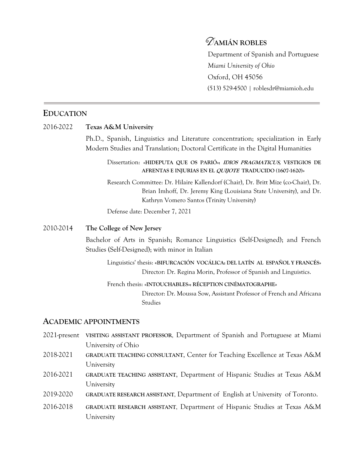# D**AMIÁN ROBLES**

Department of Spanish and Portuguese *Miami University of Ohio* Oxford, OH 45056 (513) 529-4500 | roblesdr@miamioh.edu

# **EDUCATION**

### 2016-2022 **Texas A&M University**

Ph.D., Spanish, Linguistics and Literature concentration; specialization in Early Modern Studies and Translation; Doctoral Certificate in the Digital Humanities

## Dissertation: **«HIDEPUTA QUE OS PARIÓ»: IDIOS PRAGMATICUS, VESTIGIOS DE AFRENTAS E INJURIAS EN EL QUIJOTE TRADUCIDO (1607-1620)»**

Research Committee: Dr. Hilaire Kallendorf (Chair), Dr. Britt Mize (co-Chair), Dr. Brian Imhoff, Dr. Jeremy King (Louisiana State University), and Dr. Kathryn Vomero Santos (Trinity University)

Defense date: December 7, 2021

## 2010-2014 **The College of New Jersey**

Bachelor of Arts in Spanish; Romance Linguistics (Self-Designed); and French Studies (Self-Designed); with minor in Italian

Linguistics' thesis: «**BIFURCACIÓN VOCÁLICA: DEL LATÍN AL ESPAÑOL Y FRANCÉS»** Director: Dr. Regina Morin, Professor of Spanish and Linguistics.

### French thesis: **«INTOUCHABLES»: RÉCEPTION CINÉMATOGRAPHE»**

Director: Dr. Moussa Sow, Assistant Professor of French and Africana Studies

# **ACADEMIC APPOINTMENTS**

- 2021-present **VISITING ASSISTANT PROFESSOR**, Department of Spanish and Portuguese at Miami University of Ohio
- 2018-2021 **GRADUATE TEACHING CONSULTANT**, Center for Teaching Excellence at Texas A&M University
- 2016-2021 **GRADUATE TEACHING ASSISTANT**, Department of Hispanic Studies at Texas A&M University
- 2019-2020 **GRADUATE RESEARCH ASSISTANT**, Department of English at University of Toronto.
- 2016-2018 **GRADUATE RESEARCH ASSISTANT**, Department of Hispanic Studies at Texas A&M University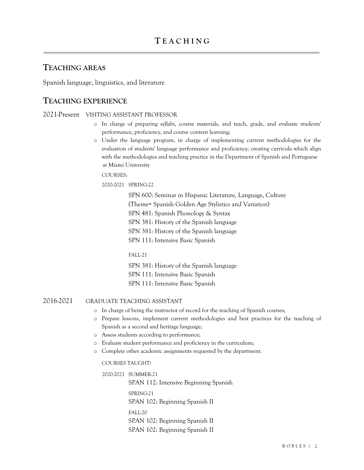# **TEACHING AREAS**

Spanish language, linguistics, and literature

# **TEACHING EXPERIENCE**

2021-Present VISITING ASSISTANT PROFESSOR

- o In charge of preparing syllabi, course materials, and teach, grade, and evaluate students' performance, proficiency, and course content learning;
- o Under the language program, in charge of implementing current methodologies for the evaluation of students' language performance and proficiency; creating curricula which align with the methodologies and teaching practice in the Department of Spanish and Portuguese at Miami University

COURSES:

2020-2021 SPRING-22

SPN 600: Seminar in Hispanic Literature, Language, Culture (Theme= Spanish Golden Age Stylistics and Variation) SPN 481: Spanish Phonology & Syntax SPN 381: History of the Spanish language SPN 381: History of the Spanish language SPN 111: Intensive Basic Spanish

FALL-21

SPN 381: History of the Spanish language

SPN 111: Intensive Basic Spanish

SPN 111: Intensive Basic Spanish

### 2016-2021 GRADUATE TEACHING ASSISTANT

- o In charge of being the instructor of record for the teaching of Spanish courses;
- o Prepare lessons, implement current methodologies and best practices for the teaching of Spanish as a second and heritage language;
- o Assess students according to performance;
- o Evaluate student performance and proficiency in the curriculum;
- o Complete other academic assignments requested by the department.

COURSES TAUGHT:

 2020-2021 SUMMER-21 SPAN 112: Intensive Beginning Spanish SPRING-21 SPAN 102: Beginning Spanish II FALL-20 SPAN 102: Beginning Spanish II SPAN 102: Beginning Spanish II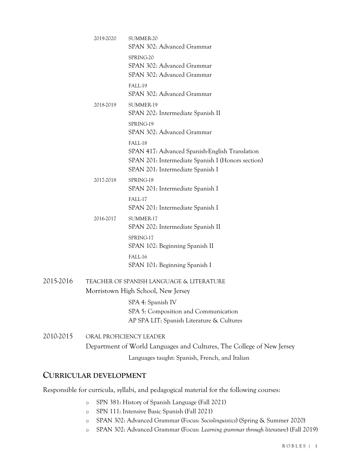|           | 2019-2020                                                                      | SUMMER-20<br>SPAN 302: Advanced Grammar                                                                                                            |
|-----------|--------------------------------------------------------------------------------|----------------------------------------------------------------------------------------------------------------------------------------------------|
|           |                                                                                | SPRING-20<br>SPAN 302: Advanced Grammar<br>SPAN 302: Advanced Grammar                                                                              |
|           |                                                                                | FALL-19<br>SPAN 302: Advanced Grammar                                                                                                              |
|           | 2018-2019                                                                      | SUMMER-19<br>SPAN 202: Intermediate Spanish II                                                                                                     |
|           |                                                                                | SPRING-19<br>SPAN 302: Advanced Grammar                                                                                                            |
|           |                                                                                | FALL-18<br>SPAN 417: Advanced Spanish-English Translation<br>SPAN 201: Intermediate Spanish I (Honors section)<br>SPAN 201: Intermediate Spanish I |
|           | 2017-2018                                                                      | SPRING-18<br>SPAN 201: Intermediate Spanish I                                                                                                      |
|           |                                                                                | FALL-17<br>SPAN 201: Intermediate Spanish I                                                                                                        |
|           | 2016-2017                                                                      | SUMMER-17<br>SPAN 202: Intermediate Spanish II                                                                                                     |
|           |                                                                                | SPRING-17<br>SPAN 102: Beginning Spanish II                                                                                                        |
|           |                                                                                | FALL-16<br>SPAN 101: Beginning Spanish I                                                                                                           |
| 2015-2016 | TEACHER OF SPANISH LANGUAGE & LITERATURE<br>Morristown High School, New Jersey |                                                                                                                                                    |
|           |                                                                                | SPA 4: Spanish IV<br>SPA 5: Composition and Communication<br>AP SPA LIT: Spanish Literature & Cultures                                             |
| 2010-2015 | ORAL PROFICIENCY LEADER                                                        |                                                                                                                                                    |
|           |                                                                                | Department of World Languages and Cultures, The College of New Jersey                                                                              |
|           |                                                                                | Languages taught: Spanish, French, and Italian                                                                                                     |

# **CURRICULAR DEVELOPMENT**

Responsible for curricula, syllabi, and pedagogical material for the following courses:

- o SPN 381: History of Spanish Language (Fall 2021)
- o SPN 111: Intensive Basic Spanish (Fall 2021)
- o SPAN 302: Advanced Grammar (Focus: *Sociolinguistics*) (Spring & Summer 2020)
- o SPAN 302: Advanced Grammar (Focus: *Learning grammar through literature*) (Fall 2019)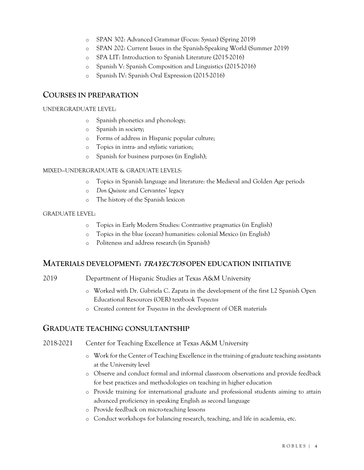- o SPAN 302: Advanced Grammar (Focus: *Syntax*) (Spring 2019)
- o SPAN 202: Current Issues in the Spanish-Speaking World (Summer 2019)
- o SPA LIT: Introduction to Spanish Literature (2015-2016)
- o Spanish V: Spanish Composition and Linguistics (2015-2016)
- o Spanish IV: Spanish Oral Expression (2015-2016)

## **COURSES IN PREPARATION**

#### UNDERGRADUATE LEVEL:

- o Spanish phonetics and phonology;
- o Spanish in society;
- o Forms of address in Hispanic popular culture;
- o Topics in intra- and stylistic variation;
- o Spanish for business purposes (in English);

### MIXED—UNDERGRADUATE & GRADUATE LEVELS:

- o Topics in Spanish language and literature: the Medieval and Golden Age periods
- o *Don Quixote* and Cervantes' legacy
- o The history of the Spanish lexicon

#### GRADUATE LEVEL:

- o Topics in Early Modern Studies: Contrastive pragmatics (in English)
- o Topics in the blue (ocean) humanities: colonial Mexico (in English)
- o Politeness and address research (in Spanish)

### **MATERIALS DEVELOPMENT: TRAYECTOS OPEN EDUCATION INITIATIVE**

2019 Department of Hispanic Studies at Texas A&M University

- o Worked with Dr. Gabriela C. Zapata in the development of the first L2 Spanish Open Educational Resources (OER) textbook *Trayectos*
- o Created content for *Trayectos* in the development of OER materials

### **GRADUATE TEACHING CONSULTANTSHIP**

### 2018-2021 Center for Teaching Excellence at Texas A&M University

- o Work for the Center of Teaching Excellence in the training of graduate teaching assistants at the University level
- o Observe and conduct formal and informal classroom observations and provide feedback for best practices and methodologies on teaching in higher education
- o Provide training for international graduate and professional students aiming to attain advanced proficiency in speaking English as second language
- o Provide feedback on micro-teaching lessons
- o Conduct workshops for balancing research, teaching, and life in academia, etc.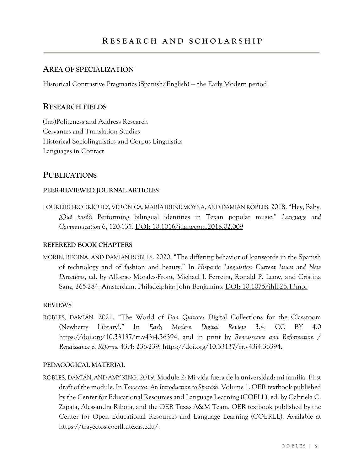## **AREA OF SPECIALIZATION**

Historical Contrastive Pragmatics (Spanish/English) — the Early Modern period

# **RESEARCH FIELDS**

(Im-)Politeness and Address Research Cervantes and Translation Studies Historical Sociolinguistics and Corpus Linguistics Languages in Contact

# **PUBLICATIONS**

### **PEER-REVIEWED JOURNAL ARTICLES**

LOUREIRO-RODRÍGUEZ, VERÓNICA, MARÍA IRENE MOYNA, AND DAMIÁN ROBLES. 2018. "Hey, Baby, *¿Qué pasó?*: Performing bilingual identities in Texan popular music." *Language and Communication* 6, 120-135. DOI: 10.1016/j.langcom.2018.02.009

## **REFEREED BOOK CHAPTERS**

MORIN, REGINA, AND DAMIÁN ROBLES. 2020. "The differing behavior of loanwords in the Spanish of technology and of fashion and beauty." In *Hispanic Linguistics: Current Issues and New Directions*, ed. by Alfonso Morales-Front, Michael J. Ferreira, Ronald P. Leow, and Cristina Sanz, 265-284. Amsterdam, Philadelphia: John Benjamins. DOI: 10.1075/ihll.26.13mor

### **REVIEWS**

ROBLES, DAMIÁN. 2021. "The World of *Don Quixote*: Digital Collections for the Classroom (Newberry Library)." In *Early Modern Digital Review* 3.4, CC BY 4.0 https://doi.org/10.33137/rr.v43i4.36394, and in print by *Renaissance and Reformation / Renaissance et Réforme* 43.4: 236-239: https://doi.org/10.33137/rr.v43i4.36394.

### **PEDAGOGICAL MATERIAL**

ROBLES, DAMIÁN, AND AMY KING. 2019. Module 2: Mi vida fuera de la universidad: mi familia. First draft of the module. In *Trayectos: An Introduction to Spanish.* Volume 1. OER textbook published by the Center for Educational Resources and Language Learning (COELL), ed. by Gabriela C. Zapata, Alessandra Ribota, and the OER Texas A&M Team. OER textbook published by the Center for Open Educational Resources and Language Learning (COERLL). Available at https://trayectos.coerll.utexas.edu/.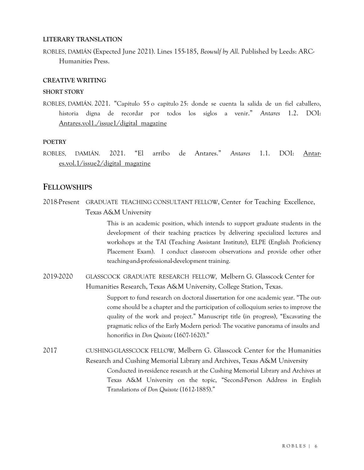### **LITERARY TRANSLATION**

ROBLES, DAMIÁN (Expected June 2021). Lines 155-185, *Beowulf by All*. Published by Leeds: ARC-Humanities Press.

### **CREATIVE WRITING**

#### **SHORT STORY**

ROBLES, DAMIÁN. 2021. "Capítulo 55 o capítulo 25: donde se cuenta la salida de un fiel caballero, historia digna de recordar por todos los siglos a venir." *Antares* 1.2. DOI: Antares.vol1./issue1/digital magazine

#### **POETRY**

ROBLES, DAMIÁN. 2021. "El arribo de Antares." *Antares* 1.1. DOI: Antares.vol.1/issue2/digital\_magazine

## **FELLOWSHIPS**

2018-Present GRADUATE TEACHING CONSULTANT FELLOW, Center for Teaching Excellence, Texas A&M University

> This is an academic position, which intends to support graduate students in the development of their teaching practices by delivering specialized lectures and workshops at the TAI (Teaching Assistant Institute), ELPE (English Proficiency Placement Exam). I conduct classroom observations and provide other other teaching-and-professional-development training.

2019-2020 GLASSCOCK GRADUATE RESEARCH FELLOW*,* Melbern G. Glasscock Center for Humanities Research, Texas A&M University, College Station, Texas.

> Support to fund research on doctoral dissertation for one academic year. "The outcome should be a chapter and the participation of colloquium series to improve the quality of the work and project." Manuscript title (in progress), "Excavating the pragmatic relics of the Early Modern period: The vocative panorama of insults and honorifics in *Don Quixote* (1607-1620)."

2017 CUSHING-GLASSCOCK FELLOW*,* Melbern G. Glasscock Center for the Humanities Research and Cushing Memorial Library and Archives, Texas A&M University Conducted in-residence research at the Cushing Memorial Library and Archives at Texas A&M University on the topic, "Second-Person Address in English Translations of *Don Quixote* (1612-1885)."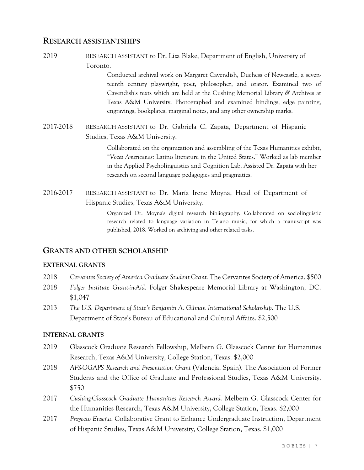## **RESEARCH ASSISTANTSHIPS**

2019 RESEARCH ASSISTANT to Dr. Liza Blake, Department of English, University of Toronto.

> Conducted archival work on Margaret Cavendish, Duchess of Newcastle, a seventeenth century playwright, poet, philosopher, and orator. Examined two of Cavendish's texts which are held at the Cushing Memorial Library *&* Archives at Texas A&M University. Photographed and examined bindings, edge painting, engravings, bookplates, marginal notes, and any other ownership marks.

2017-2018 RESEARCH ASSISTANT to Dr. Gabriela C. Zapata, Department of Hispanic Studies, Texas A&M University.

> Collaborated on the organization and assembling of the Texas Humanities exhibit, "*Voces Americanas:* Latino literature in the United States." Worked as lab member in the Applied Psycholinguistics and Cognition Lab. Assisted Dr. Zapata with her research on second language pedagogies and pragmatics.

2016-2017 RESEARCH ASSISTANT to Dr. María Irene Moyna, Head of Department of Hispanic Studies, Texas A&M University.

> Organized Dr. Moyna's digital research bibliography. Collaborated on sociolinguistic research related to language variation in Tejano music, for which a manuscript was published, 2018. Worked on archiving and other related tasks.

## **GRANTS AND OTHER SCHOLARSHIP**

### **EXTERNAL GRANTS**

- 2018 *Cervantes Society of America Graduate Student Grant.* The Cervantes Society of America. \$500
- 2018 *Folger Institute Grant-in-Aid.* Folger Shakespeare Memorial Library at Washington, DC. \$1,047
- 2013 *The U.S. Department of State's Benjamin A. Gilman International Scholarship*. The U.S. Department of State's Bureau of Educational and Cultural Affairs. \$2,500

### **INTERNAL GRANTS**

- 2019 Glasscock Graduate Research Fellowship, Melbern G. Glasscock Center for Humanities Research, Texas A&M University, College Station, Texas. \$2,000
- 2018 *AFS-OGAPS Research and Presentation Grant* (Valencia, Spain). The Association of Former Students and the Office of Graduate and Professional Studies, Texas A&M University. \$750
- 2017 *Cushing-Glasscock Graduate Humanities Research Award.* Melbern G. Glasscock Center for the Humanities Research, Texas A&M University, College Station, Texas. \$2,000
- 2017 *Proyecto Enseña*. Collaborative Grant to Enhance Undergraduate Instruction, Department of Hispanic Studies, Texas A&M University, College Station, Texas. \$1,000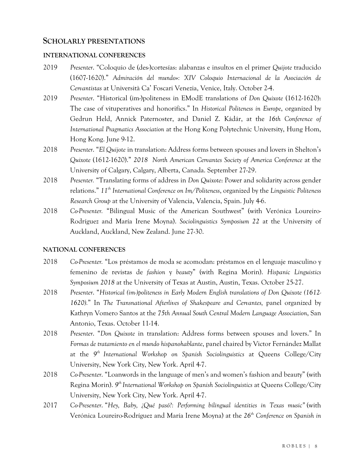### **SCHOLARLY PRESENTATIONS**

#### **INTERNATIONAL CONFERENCES**

- 2019 *Presenter*. "Coloquio de (des-)cortesías: alabanzas e insultos en el primer *Quijote* traducido (1607-1620)." *Admiración del mundo»: XIV Coloquio Internacional de la Asociación de Cervantistas* at Università Ca' Foscari Venezia, Venice, Italy. October 2-4.
- 2019 *Presenter*. "Historical (im-)politeness in EModE translations of *Don Quixote* (1612-1620): The case of vituperatives and honorifics." In *Historical Politeness in Europe*, organized by Gedrun Held, Annick Paternoster, and Daniel Z. Kádár, at the *16th Conference of International Pragmatics Association* at the Hong Kong Polytechnic University, Hung Hom, Hong Kong. June 9-12.
- 2018 *Presenter*. "*El Quijote* in translation: Address forms between spouses and lovers in Shelton's *Quixote* (1612-1620)." *2018 North American Cervantes Society of America Conference* at the University of Calgary, Calgary, Alberta, Canada. September 27-29.
- 2018 *Presenter.* "Translating forms of address in *Don Quixote*: Power and solidarity across gender relations." *11th International Conference on Im/Politeness*, organized by the *Linguistic Politeness Research Group* at the University of Valencia, Valencia, Spain. July 4-6.
- 2018 *Co-Presenter.* "Bilingual Music of the American Southwest" (with Verónica Loureiro-Rodríguez and María Irene Moyna). *Sociolinguistics Symposium 22* at the University of Auckland, Auckland, New Zealand. June 27-30.

### **NATIONAL CONFERENCES**

- 2018 *Co-Presenter.* "Los préstamos de moda se acomodan: préstamos en el lenguaje masculino y femenino de revistas de *fashion* y *beauty*" (with Regina Morin). *Hispanic Linguistics Symposium 2018* at the University of Texas at Austin, Austin, Texas. October 25-27.
- 2018 *Presenter*. "*Historical (im-)politeness in Early Modern English translations of Don Quixote (1612-* 1620)." In *The Transnational Afterlives of Shakespeare and Cervantes*, panel organized by Kathryn Vomero Santos at the *75th Annual South Central Modern Language Association*, San Antonio, Texas. October 11-14.
- 2018 *Presenter*. "*Don Quixote* in translation: Address forms between spouses and lovers." In *Formas de tratamiento en el mundo hispanohablante*, panel chaired by Victor Fernández Mallat at the *9th International Workshop on Spanish Sociolinguistics* at Queens College/City University, New York City, New York. April 4-7.
- 2018 *Co-Presenter*. "Loanwords in the language of men's and women's fashion and beauty" (with Regina Morin). *9th International Workshop on Spanish Sociolinguistics* at Queens College/City University, New York City, New York. April 4-7.
- 2017 *Co-Presenter*. "*Hey, Baby, ¿Qué pasó?: Performing bilingual identities in Texas music"* (with Verónica Loureiro-Rodríguez and María Irene Moyna) at the *26th Conference on Spanish in*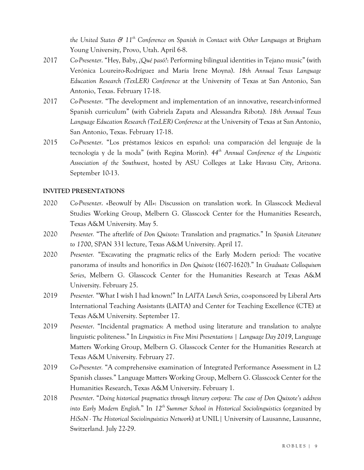*the United States & 11th Conference on Spanish in Contact with Other Languages* at Brigham Young University, Provo, Utah. April 6-8.

- 2017 *Co-Presenter*. "Hey, Baby, *¿Qué pasó?*: Performing bilingual identities in Tejano music" (with Verónica Loureiro-Rodríguez and María Irene Moyna). *18th Annual Texas Language Education Research (TexLER) Conference* at the University of Texas at San Antonio, San Antonio, Texas. February 17-18.
- 2017 *Co-Presenter*. "The development and implementation of an innovative, research-informed Spanish curriculum" (with Gabriela Zapata and Alessandra Ribota). *18th Annual Texas Language Education Research (TexLER) Conference* at the University of Texas at San Antonio, San Antonio, Texas. February 17-18.
- 2015 *Co-Presenter*. "Los préstamos léxicos en español: una comparación del lenguaje de la tecnología y de la moda" (with Regina Morin). *44th Annual Conference of the Linguistic Association of the Southwest*, hosted by ASU Colleges at Lake Havasu City, Arizona. September 10-13.

### **INVITED PRESENTATIONS**

- 2020 *Co-Presenter*. «Beowulf by All»: Discussion on translation work. In Glasscock Medieval Studies Working Group, Melbern G. Glasscock Center for the Humanities Research, Texas A&M University. May 5.
- 2020 *Presenter.* "The afterlife of *Don Quixote*: Translation and pragmatics." In *Spanish Literature to 1700*, SPAN 331 lecture, Texas A&M University. April 17.
- 2020 *Presenter.* "Excavating the pragmatic relics of the Early Modern period: The vocative panorama of insults and honorifics in *Don Quixote* (1607-1620)." In *Graduate Colloquium Series*, Melbern G. Glasscock Center for the Humanities Research at Texas A&M University. February 25.
- 2019 *Presenter.* "What I wish I had known!" In *LAITA Lunch Series*, co-sponsored by Liberal Arts International Teaching Assistants (LAITA) and Center for Teaching Excellence (CTE) at Texas A&M University. September 17.
- 2019 *Presenter*. "Incidental pragmatics: A method using literature and translation to analyze linguistic politeness." In *Linguistics in Five Mini Presentations* | *Language Day 2019*, Language Matters Working Group, Melbern G. Glasscock Center for the Humanities Research at Texas A&M University. February 27.
- 2019 *Co-Presenter.* "A comprehensive examination of Integrated Performance Assessment in L2 Spanish classes*.*" Language Matters Working Group, Melbern G. Glasscock Center for the Humanities Research, Texas A&M University. February 1.
- 2018 *Presenter*. "*Doing historical pragmatics through literary corpora: The case of Don Quixote's address into Early Modern English.*" In *12th Summer School in Historical Sociolinguistics* (organized by *HiSoN - The Historical Sociolinguistics Network*) at UNIL| University of Lausanne, Lausanne, Switzerland. July 22-29.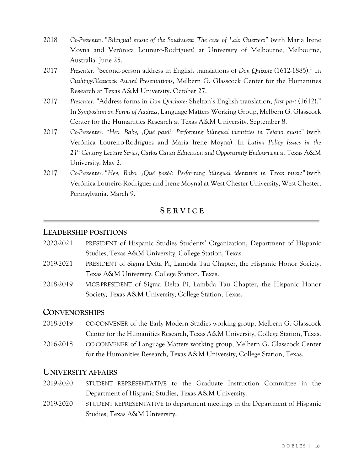- 2018 *Co-Presenter*. "*Bilingual music of the Southwest: The case of Lalo Guerrero*" (with María Irene Moyna and Verónica Loureiro-Rodríguez) at University of Melbourne, Melbourne, Australia. June 25.
- 2017 *Presenter.* "Second-person address in English translations of *Don Quixote* (1612-1885)." In *Cushing-Glasscock Award Presentations*, Melbern G. Glasscock Center for the Humanities Research at Texas A&M University. October 27.
- 2017 *Presenter*. "Address forms in *Don Qvichote*: Shelton's English translation, *first part* (1612)." In *Symposium on Forms of Address*, Language Matters Working Group, Melbern G. Glasscock Center for the Humanities Research at Texas A&M University. September 8.
- 2017 *Co-Presenter*. "*Hey, Baby, ¿Qué pasó?: Performing bilingual identities in Tejano music"* (with Verónica Loureiro-Rodríguez and María Irene Moyna). In *Latinx Policy Issues in the 21st Century Lecture Series*, *Carlos Cantú Education and Opportunity Endowment* at Texas A&M University. May 2.
- 2017 *Co-Presenter*. "*Hey, Baby, ¿Qué pasó?: Performing bilingual identities in Texas music"* (with Verónica Loureiro-Rodríguez and Irene Moyna) at West Chester University, West Chester, Pennsylvania. March 9.

# **S E R V I C E**

# **LEADERSHIP POSITIONS**

- 2020-2021 PRESIDENT of Hispanic Studies Students' Organization, Department of Hispanic Studies, Texas A&M University, College Station, Texas.
- 2019-2021 PRESIDENT of Sigma Delta Pi, Lambda Tau Chapter, the Hispanic Honor Society, Texas A&M University, College Station, Texas.
- 2018-2019 VICE-PRESIDENT of Sigma Delta Pi, Lambda Tau Chapter, the Hispanic Honor Society, Texas A&M University, College Station, Texas.

## **CONVENORSHIPS**

- 2018-2019 CO-CONVENER of the Early Modern Studies working group, Melbern G. Glasscock Center for the Humanities Research, Texas A&M University, College Station, Texas.
- 2016-2018 CO-CONVENER of Language Matters working group, Melbern G. Glasscock Center for the Humanities Research, Texas A&M University, College Station, Texas.

# **UNIVERSITY AFFAIRS**

- 2019-2020 STUDENT REPRESENTATIVE to the Graduate Instruction Committee in the Department of Hispanic Studies, Texas A&M University.
- 2019-2020 STUDENT REPRESENTATIVE to department meetings in the Department of Hispanic Studies, Texas A&M University.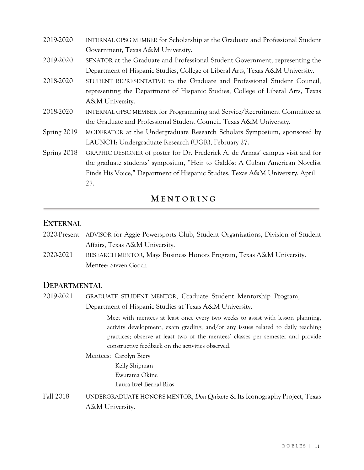- 2019-2020 INTERNAL GPSG MEMBER for Scholarship at the Graduate and Professional Student Government, Texas A&M University.
- 2019-2020 SENATOR at the Graduate and Professional Student Government, representing the Department of Hispanic Studies, College of Liberal Arts, Texas A&M University.
- 2018-2020 STUDENT REPRESENTATIVE to the Graduate and Professional Student Council, representing the Department of Hispanic Studies, College of Liberal Arts, Texas A&M University.
- 2018-2020 INTERNAL GPSC MEMBER for Programming and Service/Recruitment Committee at the Graduate and Professional Student Council. Texas A&M University.
- Spring 2019 MODERATOR at the Undergraduate Research Scholars Symposium, sponsored by LAUNCH: Undergraduate Research (UGR), February 27.
- Spring 2018 GRAPHIC DESIGNER of poster for Dr. Frederick A. de Armas' campus visit and for the graduate students' symposium, "Heir to Galdós: A Cuban American Novelist Finds His Voice," Department of Hispanic Studies, Texas A&M University. April 27.

# **M E N T O R I N G**

# **EXTERNAL**

- 2020-Present ADVISOR for Aggie Powersports Club, Student Organizations, Division of Student Affairs, Texas A&M University.
- 2020-2021 RESEARCH MENTOR, Mays Business Honors Program, Texas A&M University. Mentee: Steven Gooch

# **DEPARTMENTAL**

2019-2021 GRADUATE STUDENT MENTOR, Graduate Student Mentorship Program, Department of Hispanic Studies at Texas A&M University.

> Meet with mentees at least once every two weeks to assist with lesson planning, activity development, exam grading, and/or any issues related to daily teaching practices; observe at least two of the mentees' classes per semester and provide constructive feedback on the activities observed.

# Mentees: Carolyn Biery

Kelly Shipman Ewurama Okine Laura Itzel Bernal Rios

Fall 2018 UNDERGRADUATE HONORS MENTOR, *Don Quixote* & Its Iconography Project, Texas A&M University.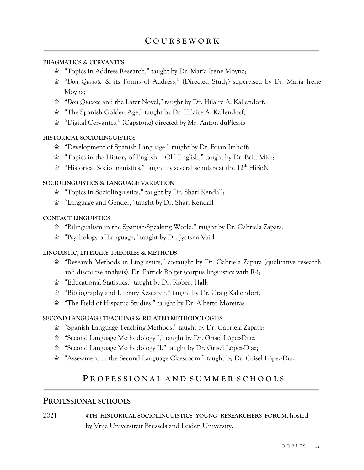### **PRAGMATICS & CERVANTES**

- ♔ "Topics in Address Research," taught by Dr. María Irene Moyna;
- ♔ "*Don Quixote* & its Forms of Address," (Directed Study) supervised by Dr. María Irene Moyna;
- ♔ "*Don Quixote* and the Later Novel," taught by Dr. Hilaire A. Kallendorf;
- ♔ "The Spanish Golden Age," taught by Dr. Hilaire A. Kallendorf;
- ♔ "Digital Cervantes," (Capstone) directed by Mr. Anton duPlessis

### **HISTORICAL SOCIOLINGUISTICS**

- ♔ "Development of Spanish Language," taught by Dr. Brian Imhoff;
- ♔ "Topics in the History of English Old English," taught by Dr. Britt Mize;
- $\mathcal{L}$  "Historical Sociolinguistics," taught by several scholars at the 12<sup>th</sup> HiSoN

### **SOCIOLINGUISTICS & LANGUAGE VARIATION**

- ♔ "Topics in Sociolinguistics," taught by Dr. Shari Kendall;
- ♔ "Language and Gender," taught by Dr. Shari Kendall

#### **CONTACT LINGUISTICS**

- ♔ "Bilingualism in the Spanish-Speaking World," taught by Dr. Gabriela Zapata;
- ♔ "Psychology of Language," taught by Dr. Jyotsna Vaid

### **LINGUISTIC, LITERARY THEORIES & METHODS**

- **≌ "Research Methods in Linguistics," co-taught by Dr. Gabriela Zapata (qualitative research** and discourse analysis), Dr. Patrick Bolger (corpus linguistics with R-);
- ♔ "Educational Statistics," taught by Dr. Robert Hall;
- **≌** "Bibliography and Literary Research," taught by Dr. Craig Kallendorf;
- ♔ "The Field of Hispanic Studies," taught by Dr. Alberto Moreiras

#### **SECOND LANGUAGE TEACHING & RELATED METHODOLOGIES**

- ♔ "Spanish Language Teaching Methods," taught by Dr. Gabriela Zapata;
- ♔ "Second Language Methodology I," taught by Dr. Grisel López-Díaz;
- ♔ "Second Language Methodology II," taught by Dr. Grisel López-Díaz;
- ♔ "Assessment in the Second Language Classroom," taught by Dr. Grisel López-Díaz.

# **P R O F E S S I O N A L A N D S U M M E R S C H O O L S**

# **PROFESSIONAL SCHOOLS**

2021 **4TH HISTORICAL SOCIOLINGUISTICS YOUNG RESEARCHERS FORUM**, hosted by Vrije Universiteit Brussels and Leiden University: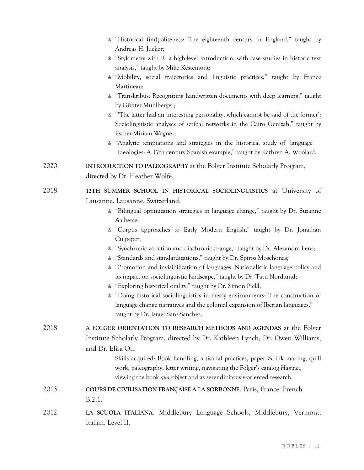|      | the "Historical (im)politeness: The eighteenth century in England," taught by<br>Andreas H. Jucker;                                                                                                                                                                                                                                                                                                                                                                                                                                                                                                                                                                                                                                                                                                                                                                                                |  |
|------|----------------------------------------------------------------------------------------------------------------------------------------------------------------------------------------------------------------------------------------------------------------------------------------------------------------------------------------------------------------------------------------------------------------------------------------------------------------------------------------------------------------------------------------------------------------------------------------------------------------------------------------------------------------------------------------------------------------------------------------------------------------------------------------------------------------------------------------------------------------------------------------------------|--|
|      | the "Stylometry with R: a high-level introduction, with case studies in historic text                                                                                                                                                                                                                                                                                                                                                                                                                                                                                                                                                                                                                                                                                                                                                                                                              |  |
|      | analysis," taught by Mike Kestemont;<br>"Mobility, social trajectories and linguistic practices," taught by France<br>≌<br>Martineau;                                                                                                                                                                                                                                                                                                                                                                                                                                                                                                                                                                                                                                                                                                                                                              |  |
|      | "Transkribus: Recognizing handwritten documents with deep learning," taught<br>by Günter Mühlberger;                                                                                                                                                                                                                                                                                                                                                                                                                                                                                                                                                                                                                                                                                                                                                                                               |  |
|      | ***The latter had an interesting personality, which cannot be said of the former':<br>Sociolinguistic analyses of scribal networks in the Cairo Genizah," taught by<br>Esther-Miriam Wagner;<br>"Analytic temptations and strategies in the historical study of language<br>ideologies: A 17th century Spanish example," taught by Kathryn A. Woolard.                                                                                                                                                                                                                                                                                                                                                                                                                                                                                                                                             |  |
| 2020 | <b>INTRODUCTION TO PALEOGRAPHY</b> at the Folger Institute Scholarly Program,<br>directed by Dr. Heather Wolfe.                                                                                                                                                                                                                                                                                                                                                                                                                                                                                                                                                                                                                                                                                                                                                                                    |  |
| 2018 | 12TH SUMMER SCHOOL IN HISTORICAL SOCIOLINGUISTICS at University of<br>Lausanne. Lausanne, Switzerland:<br>Bilingual optimization strategies in language change," taught by Dr. Suzanne<br>Aalberse;<br>g "Corpus approaches to Early Modern English," taught by Dr. Jonathan<br>Culpeper;<br>"Synchronic variation and diachronic change," taught by Dr. Alexandra Lenz;<br>曾<br>"Standards and standardizations," taught by Dr. Spiros Moschonas;<br>曾<br>"Promotion and invisibilization of languages. Nationalistic language policy and<br>≌<br>its impact on sociolinguistic landscape," taught by Dr. Taru Nordlund;<br>"Exploring historical orality," taught by Dr. Simon Pickl;<br>the "Doing historical sociolinguistics in messy environments: The construction of<br>language change narratives and the colonial expansion of Iberian languages,"<br>taught by Dr. Israel Sanz-Sanchez. |  |
| 2018 | A FOLGER ORIENTATION TO RESEARCH METHODS AND AGENDAS at the Folger<br>Institute Scholarly Program, directed by Dr. Kathleen Lynch, Dr. Owen Williams,<br>and Dr. Elisa Oh.<br>Skills acquired: Book handling, artisanal practices, paper & ink making, quill<br>work, paleography, letter writing, navigating the Folger's catalog Hamnet,<br>viewing the book qua object and as serendipitously-oriented research.                                                                                                                                                                                                                                                                                                                                                                                                                                                                                |  |
| 2013 | COURS DE CIVILISATION FRANÇAISE A LA SORBONNE. Paris, France. French<br>B.2.1.                                                                                                                                                                                                                                                                                                                                                                                                                                                                                                                                                                                                                                                                                                                                                                                                                     |  |
| 2012 | LA SCUOLA ITALIANA. Middlebury Language Schools, Middlebury, Vermont,<br>Italian, Level II.                                                                                                                                                                                                                                                                                                                                                                                                                                                                                                                                                                                                                                                                                                                                                                                                        |  |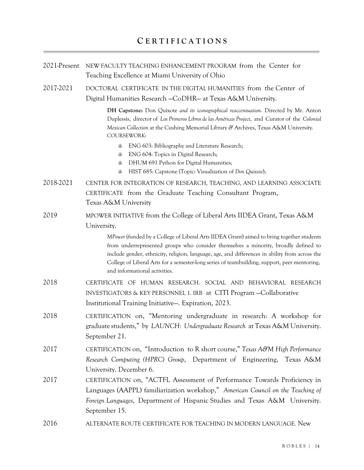| 2021-Present | NEW FACULTY TEACHING ENHANCEMENT PROGRAM from the Center for<br>Teaching Excellence at Miami University of Ohio                                                                                                                                                                                                                                                                                                                      |  |  |
|--------------|--------------------------------------------------------------------------------------------------------------------------------------------------------------------------------------------------------------------------------------------------------------------------------------------------------------------------------------------------------------------------------------------------------------------------------------|--|--|
| 2017-2021    | DOCTORAL CERTIFICATE IN THE DIGITAL HUMANITIES from the Center of<br>Digital Humanities Research -CoDHR- at Texas A&M University.<br>DH Capstone: Don Quixote and its iconographical reaccentuation. Directed by Mr. Anton<br>Duplessis, director of Los Primeros Libros de las Américas Project, and Curator of the Colonial<br>Mexican Collection at the Cushing Memorial Library & Archives, Texas A&M University.<br>COURSEWORK: |  |  |
|              |                                                                                                                                                                                                                                                                                                                                                                                                                                      |  |  |
|              | ENG 603: Bibliography and Literature Research;<br>≌<br>ENG 604: Topics in Digital Research;<br>≌<br>DHUM 691 Python for Digital Humanities;<br>≌<br>HIST 685: Capstone (Topic: Visualization of Don Quixote);<br>≌                                                                                                                                                                                                                   |  |  |
| 2018-2021    | CENTER FOR INTEGRATION OF RESEARCH, TEACHING, AND LEARNING ASSOCIATE<br>CERTIFICATE from the Graduate Teaching Consultant Program,<br>Texas A&M University                                                                                                                                                                                                                                                                           |  |  |
| 2019         | MPOWER INITIATIVE from the College of Liberal Arts IIDEA Grant, Texas A&M<br>University.                                                                                                                                                                                                                                                                                                                                             |  |  |
|              | MPower (funded by a College of Liberal Arts IIDEA Grant) aimed to bring together students<br>from underrepresented groups who consider themselves a minority, broadly defined to<br>include gender, ethnicity, religion, language, age, and differences in ability from across the<br>College of Liberal Arts for a semester-long series of teambuilding, support, peer mentoring,<br>and informational activities.                  |  |  |
| 2018         | CERTIFICATE OF HUMAN RESEARCH. SOCIAL AND BEHAVIORAL RESEARCH<br>INVESTIGATORS & KEY PERSONNEL 1. IRB at CITI Program - Collaborative<br>Institutional Training Initiative—. Expiration, 2023.                                                                                                                                                                                                                                       |  |  |
| 2018         | CERTIFICATION on, "Mentoring undergraduate in research: A workshop for<br>graduate students," by LAUNCH: Undergraduate Research at Texas A&M University.<br>September 21.                                                                                                                                                                                                                                                            |  |  |
| 2017         | CERTIFICATION on, "Introduction to R short course," Texas A&M High Performance<br>Research Computing (HPRC) Group, Department of Engineering, Texas A&M<br>University. December 6.                                                                                                                                                                                                                                                   |  |  |
| 2017         | CERTIFICATION on, "ACTFL Assessment of Performance Towards Proficiency in<br>Languages (AAPPL) familiarization workshop," American Council on the Teaching of<br>Foreign Languages, Department of Hispanic Studies and Texas A&M University.<br>September 15.                                                                                                                                                                        |  |  |
| 2016         | ALTERNATE ROUTE CERTIFICATE FOR TEACHING IN MODERN LANGUAGE. New                                                                                                                                                                                                                                                                                                                                                                     |  |  |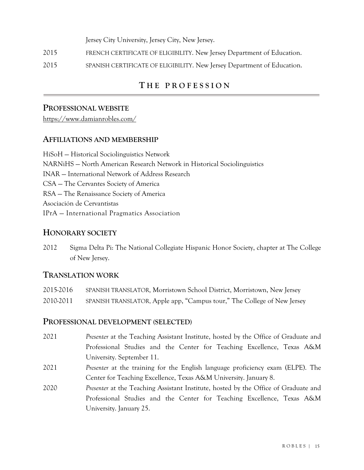Jersey City University, Jersey City, New Jersey.

- 2015 FRENCH CERTIFICATE OF ELIGIBILITY. New Jersey Department of Education.
- 2015 SPANISH CERTIFICATE OF ELIGIBILITY. New Jersey Department of Education.

# **T H E P R O F E S S I O N**

## **PROFESSIONAL WEBSITE**

https://www.damianrobles.com/

## **AFFILIATIONS AND MEMBERSHIP**

HiSoH — Historical Sociolinguistics Network NARNiHS — North American Research Network in Historical Sociolinguistics INAR — International Network of Address Research CSA — The Cervantes Society of America RSA — The Renaissance Society of America Asociación de Cervantistas IPrA — International Pragmatics Association

# **HONORARY SOCIETY**

2012 Sigma Delta Pi: The National Collegiate Hispanic Honor Society, chapter at The College of New Jersey.

## **TRANSLATION WORK**

| 2015-2016 | SPANISH TRANSLATOR, Morristown School District, Morristown, New Jersey  |
|-----------|-------------------------------------------------------------------------|
| 2010-2011 | SPANISH TRANSLATOR, Apple app. "Campus tour," The College of New Jersey |

## **PROFESSIONAL DEVELOPMENT (SELECTED)**

- 2021 *Presenter* at the Teaching Assistant Institute, hosted by the Office of Graduate and Professional Studies and the Center for Teaching Excellence, Texas A&M University. September 11.
- 2021 *Presenter* at the training for the English language proficiency exam (ELPE). The Center for Teaching Excellence, Texas A&M University. January 8.
- 2020 *Presenter* at the Teaching Assistant Institute, hosted by the Office of Graduate and Professional Studies and the Center for Teaching Excellence, Texas A&M University. January 25.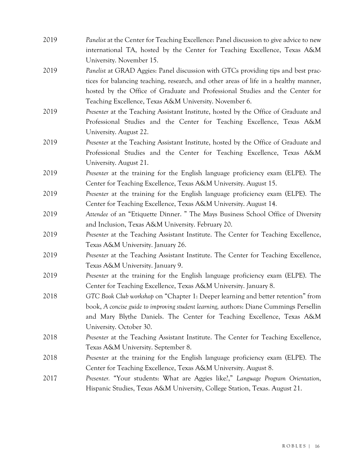| 2019 | Panelist at the Center for Teaching Excellence: Panel discussion to give advice to new |
|------|----------------------------------------------------------------------------------------|
|      | international TA, hosted by the Center for Teaching Excellence, Texas A&M              |
|      | University. November 15.                                                               |
| 2019 | Panelist at GRAD Aggies: Panel discussion with GTCs providing tips and best prac-      |
|      | tices for balancing teaching, research, and other areas of life in a healthy manner,   |
|      | hosted by the Office of Graduate and Professional Studies and the Center for           |
|      | Teaching Excellence, Texas A&M University. November 6.                                 |
| 2019 | Presenter at the Teaching Assistant Institute, hosted by the Office of Graduate and    |
|      | Professional Studies and the Center for Teaching Excellence, Texas A&M                 |
|      | University. August 22.                                                                 |
| 2019 | Presenter at the Teaching Assistant Institute, hosted by the Office of Graduate and    |
|      | Professional Studies and the Center for Teaching Excellence, Texas A&M                 |
|      | University. August 21.                                                                 |
| 2019 | <i>Presenter</i> at the training for the English language proficiency exam (ELPE). The |
|      | Center for Teaching Excellence, Texas A&M University. August 15.                       |
| 2019 | Presenter at the training for the English language proficiency exam (ELPE). The        |
|      | Center for Teaching Excellence, Texas A&M University. August 14.                       |
| 2019 | Attendee of an "Etiquette Dinner. " The Mays Business School Office of Diversity       |
|      | and Inclusion, Texas A&M University. February 20.                                      |
| 2019 | Presenter at the Teaching Assistant Institute. The Center for Teaching Excellence,     |
|      | Texas A&M University. January 26.                                                      |
| 2019 | Presenter at the Teaching Assistant Institute. The Center for Teaching Excellence,     |
|      | Texas A&M University. January 9.                                                       |
| 2019 | Presenter at the training for the English language proficiency exam (ELPE). The        |
|      | Center for Teaching Excellence, Texas A&M University. January 8.                       |
| 2018 | GTC Book Club workshop on "Chapter 1: Deeper learning and better retention" from       |
|      | book, A concise guide to improving student learning, authors: Diane Cummings Persellin |
|      | and Mary Blythe Daniels. The Center for Teaching Excellence, Texas A&M                 |
|      | University. October 30.                                                                |
| 2018 | Presenter at the Teaching Assistant Institute. The Center for Teaching Excellence,     |
|      | Texas A&M University. September 8.                                                     |
| 2018 | <i>Presenter</i> at the training for the English language proficiency exam (ELPE). The |
|      | Center for Teaching Excellence, Texas A&M University. August 8.                        |
| 2017 | Presenter. "Your students: What are Aggies like?," Language Program Orientation,       |
|      | Hispanic Studies, Texas A&M University, College Station, Texas. August 21.             |